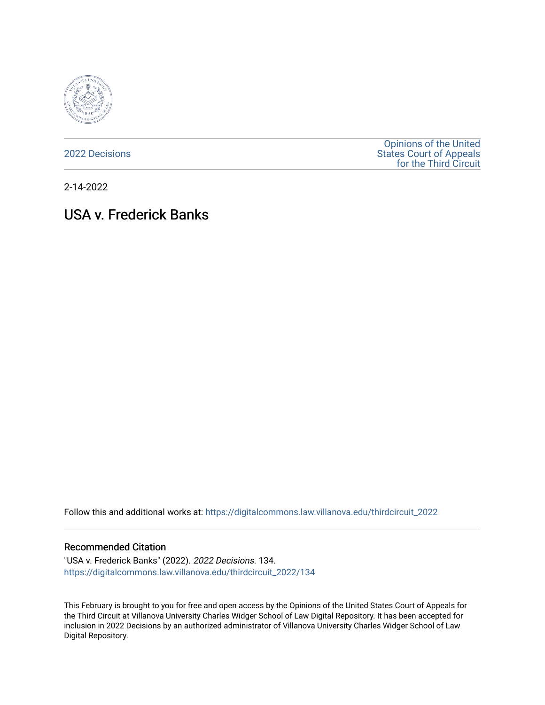

[2022 Decisions](https://digitalcommons.law.villanova.edu/thirdcircuit_2022)

[Opinions of the United](https://digitalcommons.law.villanova.edu/thirdcircuit)  [States Court of Appeals](https://digitalcommons.law.villanova.edu/thirdcircuit)  [for the Third Circuit](https://digitalcommons.law.villanova.edu/thirdcircuit) 

2-14-2022

# USA v. Frederick Banks

Follow this and additional works at: [https://digitalcommons.law.villanova.edu/thirdcircuit\\_2022](https://digitalcommons.law.villanova.edu/thirdcircuit_2022?utm_source=digitalcommons.law.villanova.edu%2Fthirdcircuit_2022%2F134&utm_medium=PDF&utm_campaign=PDFCoverPages) 

### Recommended Citation

"USA v. Frederick Banks" (2022). 2022 Decisions. 134. [https://digitalcommons.law.villanova.edu/thirdcircuit\\_2022/134](https://digitalcommons.law.villanova.edu/thirdcircuit_2022/134?utm_source=digitalcommons.law.villanova.edu%2Fthirdcircuit_2022%2F134&utm_medium=PDF&utm_campaign=PDFCoverPages)

This February is brought to you for free and open access by the Opinions of the United States Court of Appeals for the Third Circuit at Villanova University Charles Widger School of Law Digital Repository. It has been accepted for inclusion in 2022 Decisions by an authorized administrator of Villanova University Charles Widger School of Law Digital Repository.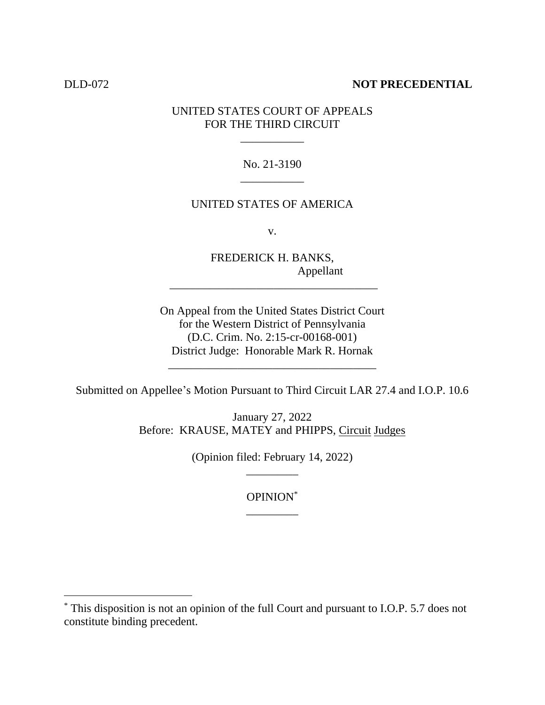# DLD-072 **NOT PRECEDENTIAL**

# UNITED STATES COURT OF APPEALS FOR THE THIRD CIRCUIT

\_\_\_\_\_\_\_\_\_\_\_

No. 21-3190 \_\_\_\_\_\_\_\_\_\_\_

## UNITED STATES OF AMERICA

v.

FREDERICK H. BANKS, Appellant

\_\_\_\_\_\_\_\_\_\_\_\_\_\_\_\_\_\_\_\_\_\_\_\_\_\_\_\_\_\_\_\_\_\_\_\_

On Appeal from the United States District Court for the Western District of Pennsylvania (D.C. Crim. No. 2:15-cr-00168-001) District Judge: Honorable Mark R. Hornak

Submitted on Appellee's Motion Pursuant to Third Circuit LAR 27.4 and I.O.P. 10.6

\_\_\_\_\_\_\_\_\_\_\_\_\_\_\_\_\_\_\_\_\_\_\_\_\_\_\_\_\_\_\_\_\_\_\_\_

January 27, 2022 Before: KRAUSE, MATEY and PHIPPS, Circuit Judges

> (Opinion filed: February 14, 2022) \_\_\_\_\_\_\_\_\_

> > OPINION\* \_\_\_\_\_\_\_\_\_

<sup>\*</sup> This disposition is not an opinion of the full Court and pursuant to I.O.P. 5.7 does not constitute binding precedent.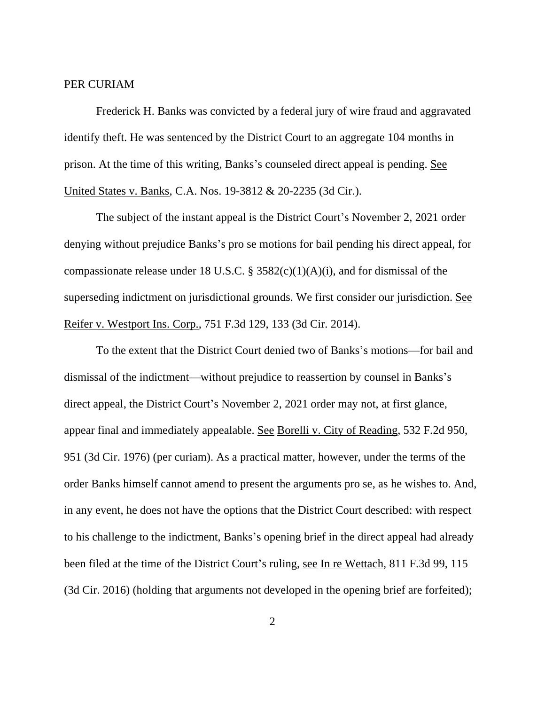# PER CURIAM

Frederick H. Banks was convicted by a federal jury of wire fraud and aggravated identify theft. He was sentenced by the District Court to an aggregate 104 months in prison. At the time of this writing, Banks's counseled direct appeal is pending. See United States v. Banks, C.A. Nos. 19-3812 & 20-2235 (3d Cir.).

The subject of the instant appeal is the District Court's November 2, 2021 order denying without prejudice Banks's pro se motions for bail pending his direct appeal, for compassionate release under 18 U.S.C. §  $3582(c)(1)(A)(i)$ , and for dismissal of the superseding indictment on jurisdictional grounds. We first consider our jurisdiction. See Reifer v. Westport Ins. Corp., 751 F.3d 129, 133 (3d Cir. 2014).

To the extent that the District Court denied two of Banks's motions—for bail and dismissal of the indictment—without prejudice to reassertion by counsel in Banks's direct appeal, the District Court's November 2, 2021 order may not, at first glance, appear final and immediately appealable. See Borelli v. City of Reading, 532 F.2d 950, 951 (3d Cir. 1976) (per curiam). As a practical matter, however, under the terms of the order Banks himself cannot amend to present the arguments pro se, as he wishes to. And, in any event, he does not have the options that the District Court described: with respect to his challenge to the indictment, Banks's opening brief in the direct appeal had already been filed at the time of the District Court's ruling, see In re Wettach, 811 F.3d 99, 115 (3d Cir. 2016) (holding that arguments not developed in the opening brief are forfeited);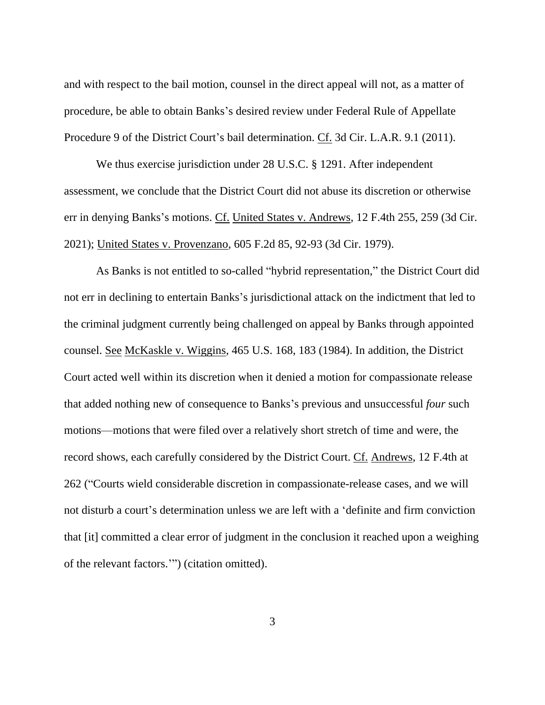and with respect to the bail motion, counsel in the direct appeal will not, as a matter of procedure, be able to obtain Banks's desired review under Federal Rule of Appellate Procedure 9 of the District Court's bail determination. Cf. 3d Cir. L.A.R. 9.1 (2011).

We thus exercise jurisdiction under 28 U.S.C. § 1291. After independent assessment, we conclude that the District Court did not abuse its discretion or otherwise err in denying Banks's motions. Cf. United States v. Andrews, 12 F.4th 255, 259 (3d Cir. 2021); United States v. Provenzano, 605 F.2d 85, 92-93 (3d Cir. 1979).

As Banks is not entitled to so-called "hybrid representation," the District Court did not err in declining to entertain Banks's jurisdictional attack on the indictment that led to the criminal judgment currently being challenged on appeal by Banks through appointed counsel. See McKaskle v. Wiggins, 465 U.S. 168, 183 (1984). In addition, the District Court acted well within its discretion when it denied a motion for compassionate release that added nothing new of consequence to Banks's previous and unsuccessful *four* such motions—motions that were filed over a relatively short stretch of time and were, the record shows, each carefully considered by the District Court. Cf. Andrews, 12 F.4th at 262 ("Courts wield considerable discretion in compassionate-release cases, and we will not disturb a court's determination unless we are left with a 'definite and firm conviction that [it] committed a clear error of judgment in the conclusion it reached upon a weighing of the relevant factors.'") (citation omitted).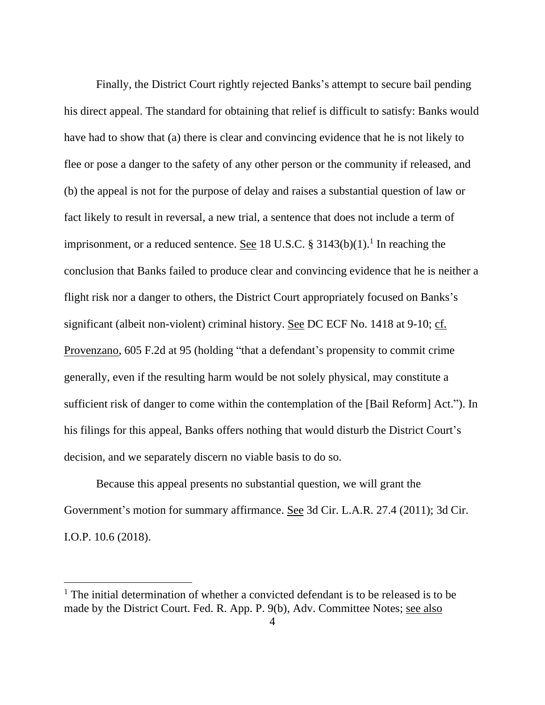Finally, the District Court rightly rejected Banks's attempt to secure bail pending his direct appeal. The standard for obtaining that relief is difficult to satisfy: Banks would have had to show that (a) there is clear and convincing evidence that he is not likely to flee or pose a danger to the safety of any other person or the community if released, and (b) the appeal is not for the purpose of delay and raises a substantial question of law or fact likely to result in reversal, a new trial, a sentence that does not include a term of imprisonment, or a reduced sentence. <u>See</u> 18 U.S.C. § 3143(b)(1).<sup>1</sup> In reaching the conclusion that Banks failed to produce clear and convincing evidence that he is neither a flight risk nor a danger to others, the District Court appropriately focused on Banks's significant (albeit non-violent) criminal history. See DC ECF No. 1418 at 9-10; cf. Provenzano, 605 F.2d at 95 (holding "that a defendant's propensity to commit crime generally, even if the resulting harm would be not solely physical, may constitute a sufficient risk of danger to come within the contemplation of the [Bail Reform] Act."). In his filings for this appeal, Banks offers nothing that would disturb the District Court's decision, and we separately discern no viable basis to do so.

Because this appeal presents no substantial question, we will grant the Government's motion for summary affirmance. See 3d Cir. L.A.R. 27.4 (2011); 3d Cir. I.O.P. 10.6 (2018).

<sup>&</sup>lt;sup>1</sup> The initial determination of whether a convicted defendant is to be released is to be made by the District Court. Fed. R. App. P. 9(b), Adv. Committee Notes; see also